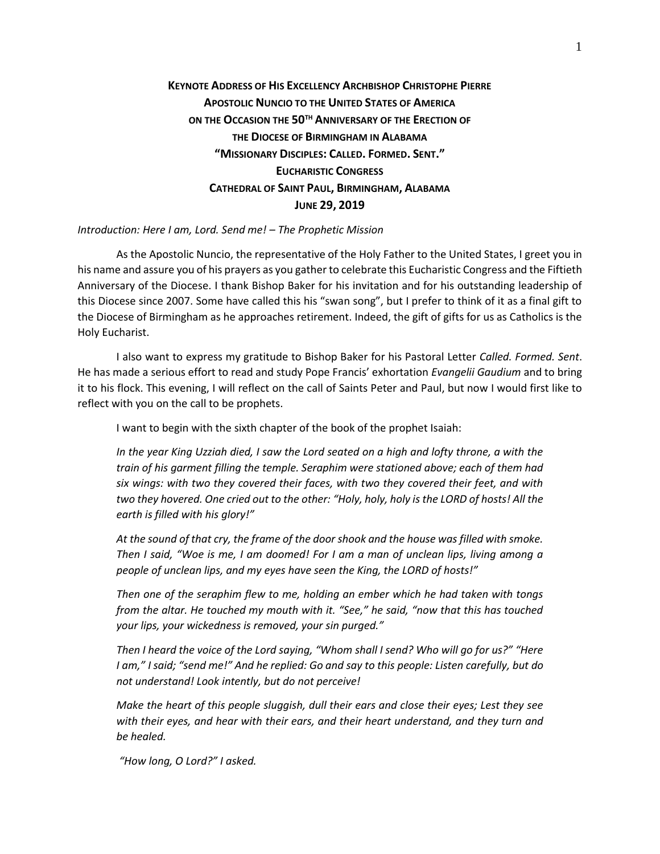# **KEYNOTE ADDRESS OF HIS EXCELLENCY ARCHBISHOP CHRISTOPHE PIERRE APOSTOLIC NUNCIO TO THE UNITED STATES OF AMERICA ON THE OCCASION THE 50TH ANNIVERSARY OF THE ERECTION OF THE DIOCESE OF BIRMINGHAM IN ALABAMA "MISSIONARY DISCIPLES: CALLED. FORMED. SENT." EUCHARISTIC CONGRESS CATHEDRAL OF SAINT PAUL, BIRMINGHAM, ALABAMA JUNE 29, 2019**

### *Introduction: Here I am, Lord. Send me! – The Prophetic Mission*

As the Apostolic Nuncio, the representative of the Holy Father to the United States, I greet you in his name and assure you of his prayers as you gather to celebrate this Eucharistic Congress and the Fiftieth Anniversary of the Diocese. I thank Bishop Baker for his invitation and for his outstanding leadership of this Diocese since 2007. Some have called this his "swan song", but I prefer to think of it as a final gift to the Diocese of Birmingham as he approaches retirement. Indeed, the gift of gifts for us as Catholics is the Holy Eucharist.

I also want to express my gratitude to Bishop Baker for his Pastoral Letter *Called. Formed. Sent*. He has made a serious effort to read and study Pope Francis' exhortation *Evangelii Gaudium* and to bring it to his flock. This evening, I will reflect on the call of Saints Peter and Paul, but now I would first like to reflect with you on the call to be prophets.

I want to begin with the sixth chapter of the book of the prophet Isaiah:

*In the year King Uzziah died, I saw the Lord seated on a high and lofty throne, a with the train of his garment filling the temple. Seraphim were stationed above; each of them had six wings: with two they covered their faces, with two they covered their feet, and with two they hovered. One cried out to the other: "Holy, holy, holy is the LORD of hosts! All the earth is filled with his glory!"*

*At the sound of that cry, the frame of the door shook and the house was filled with smoke. Then I said, "Woe is me, I am doomed! For I am a man of unclean lips, living among a people of unclean lips, and my eyes have seen the King, the LORD of hosts!"*

*Then one of the seraphim flew to me, holding an ember which he had taken with tongs from the altar. He touched my mouth with it. "See," he said, "now that this has touched your lips, your wickedness is removed, your sin purged."*

*Then I heard the voice of the Lord saying, "Whom shall I send? Who will go for us?" "Here I am," I said; "send me!" And he replied: Go and say to this people: Listen carefully, but do not understand! Look intently, but do not perceive!*

*Make the heart of this people sluggish, dull their ears and close their eyes; Lest they see with their eyes, and hear with their ears, and their heart understand, and they turn and be healed.*

*"How long, O Lord?" I asked.*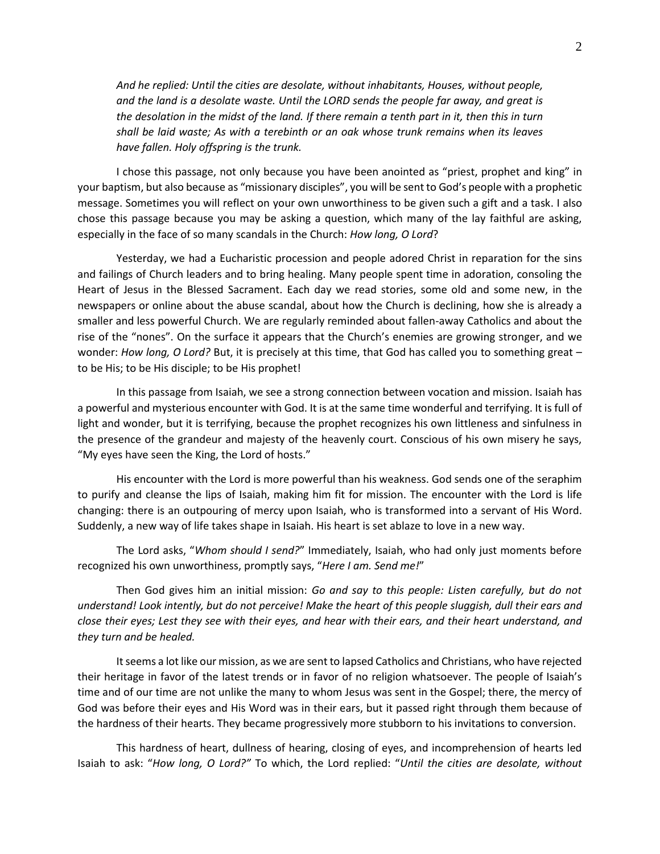*And he replied: Until the cities are desolate, without inhabitants, Houses, without people, and the land is a desolate waste. Until the LORD sends the people far away, and great is the desolation in the midst of the land. If there remain a tenth part in it, then this in turn shall be laid waste; As with a terebinth or an oak whose trunk remains when its leaves have fallen. Holy offspring is the trunk.*

I chose this passage, not only because you have been anointed as "priest, prophet and king" in your baptism, but also because as "missionary disciples", you will be sent to God's people with a prophetic message. Sometimes you will reflect on your own unworthiness to be given such a gift and a task. I also chose this passage because you may be asking a question, which many of the lay faithful are asking, especially in the face of so many scandals in the Church: *How long, O Lord*?

Yesterday, we had a Eucharistic procession and people adored Christ in reparation for the sins and failings of Church leaders and to bring healing. Many people spent time in adoration, consoling the Heart of Jesus in the Blessed Sacrament. Each day we read stories, some old and some new, in the newspapers or online about the abuse scandal, about how the Church is declining, how she is already a smaller and less powerful Church. We are regularly reminded about fallen-away Catholics and about the rise of the "nones". On the surface it appears that the Church's enemies are growing stronger, and we wonder: *How long, O Lord?* But, it is precisely at this time, that God has called you to something great – to be His; to be His disciple; to be His prophet!

In this passage from Isaiah, we see a strong connection between vocation and mission. Isaiah has a powerful and mysterious encounter with God. It is at the same time wonderful and terrifying. It is full of light and wonder, but it is terrifying, because the prophet recognizes his own littleness and sinfulness in the presence of the grandeur and majesty of the heavenly court. Conscious of his own misery he says, "My eyes have seen the King, the Lord of hosts."

His encounter with the Lord is more powerful than his weakness. God sends one of the seraphim to purify and cleanse the lips of Isaiah, making him fit for mission. The encounter with the Lord is life changing: there is an outpouring of mercy upon Isaiah, who is transformed into a servant of His Word. Suddenly, a new way of life takes shape in Isaiah. His heart is set ablaze to love in a new way.

The Lord asks, "*Whom should I send?*" Immediately, Isaiah, who had only just moments before recognized his own unworthiness, promptly says, "*Here I am. Send me!*"

Then God gives him an initial mission: *Go and say to this people: Listen carefully, but do not understand! Look intently, but do not perceive! Make the heart of this people sluggish, dull their ears and close their eyes; Lest they see with their eyes, and hear with their ears, and their heart understand, and they turn and be healed.*

It seems a lot like our mission, as we are sent to lapsed Catholics and Christians, who have rejected their heritage in favor of the latest trends or in favor of no religion whatsoever. The people of Isaiah's time and of our time are not unlike the many to whom Jesus was sent in the Gospel; there, the mercy of God was before their eyes and His Word was in their ears, but it passed right through them because of the hardness of their hearts. They became progressively more stubborn to his invitations to conversion.

This hardness of heart, dullness of hearing, closing of eyes, and incomprehension of hearts led Isaiah to ask: "*How long, O Lord?"* To which, the Lord replied: "*Until the cities are desolate, without*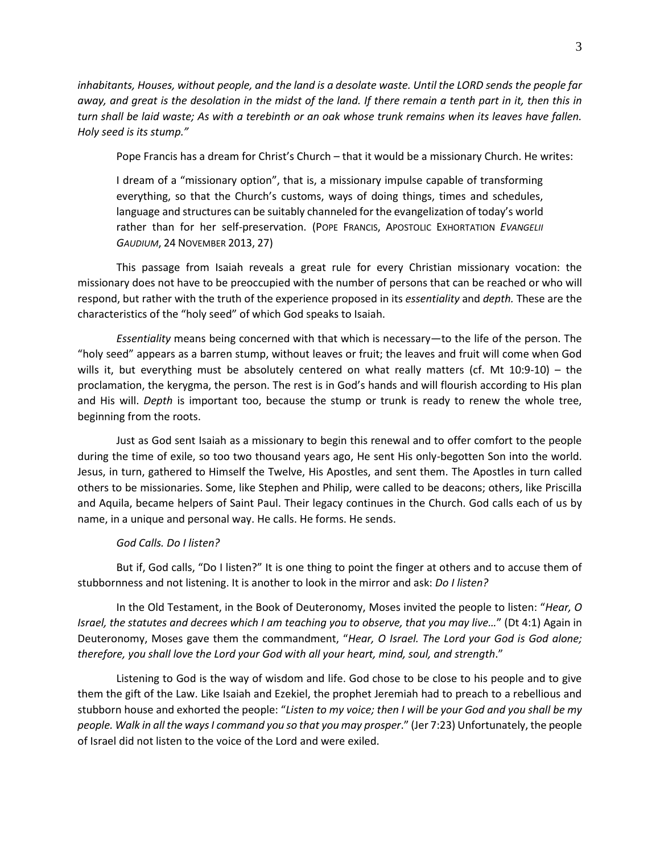*inhabitants, Houses, without people, and the land is a desolate waste. Until the LORD sends the people far away, and great is the desolation in the midst of the land. If there remain a tenth part in it, then this in turn shall be laid waste; As with a terebinth or an oak whose trunk remains when its leaves have fallen. Holy seed is its stump."* 

Pope Francis has a dream for Christ's Church – that it would be a missionary Church. He writes:

I dream of a "missionary option", that is, a missionary impulse capable of transforming everything, so that the Church's customs, ways of doing things, times and schedules, language and structures can be suitably channeled for the evangelization of today's world rather than for her self-preservation. (POPE FRANCIS, APOSTOLIC EXHORTATION *EVANGELII GAUDIUM*, 24 NOVEMBER 2013, 27)

This passage from Isaiah reveals a great rule for every Christian missionary vocation: the missionary does not have to be preoccupied with the number of persons that can be reached or who will respond, but rather with the truth of the experience proposed in its *essentiality* and *depth.* These are the characteristics of the "holy seed" of which God speaks to Isaiah.

*Essentiality* means being concerned with that which is necessary—to the life of the person. The "holy seed" appears as a barren stump, without leaves or fruit; the leaves and fruit will come when God wills it, but everything must be absolutely centered on what really matters (cf. Mt 10:9-10) – the proclamation, the kerygma, the person. The rest is in God's hands and will flourish according to His plan and His will. *Depth* is important too, because the stump or trunk is ready to renew the whole tree, beginning from the roots.

Just as God sent Isaiah as a missionary to begin this renewal and to offer comfort to the people during the time of exile, so too two thousand years ago, He sent His only-begotten Son into the world. Jesus, in turn, gathered to Himself the Twelve, His Apostles, and sent them. The Apostles in turn called others to be missionaries. Some, like Stephen and Philip, were called to be deacons; others, like Priscilla and Aquila, became helpers of Saint Paul. Their legacy continues in the Church. God calls each of us by name, in a unique and personal way. He calls. He forms. He sends.

#### *God Calls. Do I listen?*

But if, God calls, "Do I listen?" It is one thing to point the finger at others and to accuse them of stubbornness and not listening. It is another to look in the mirror and ask: *Do I listen?*

In the Old Testament, in the Book of Deuteronomy, Moses invited the people to listen: "*Hear, O Israel, the statutes and decrees which I am teaching you to observe, that you may live…*" (Dt 4:1) Again in Deuteronomy, Moses gave them the commandment, "*Hear, O Israel. The Lord your God is God alone; therefore, you shall love the Lord your God with all your heart, mind, soul, and strength*."

Listening to God is the way of wisdom and life. God chose to be close to his people and to give them the gift of the Law. Like Isaiah and Ezekiel, the prophet Jeremiah had to preach to a rebellious and stubborn house and exhorted the people: "*Listen to my voice; then I will be your God and you shall be my people. Walk in all the ways I command you so that you may prosper*." (Jer 7:23) Unfortunately, the people of Israel did not listen to the voice of the Lord and were exiled.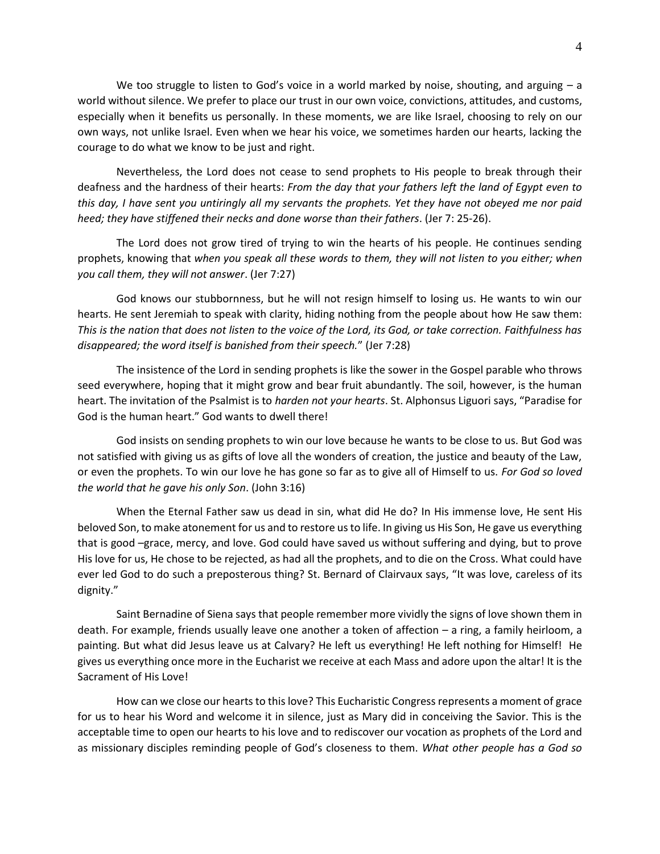We too struggle to listen to God's voice in a world marked by noise, shouting, and arguing  $- a$ world without silence. We prefer to place our trust in our own voice, convictions, attitudes, and customs, especially when it benefits us personally. In these moments, we are like Israel, choosing to rely on our own ways, not unlike Israel. Even when we hear his voice, we sometimes harden our hearts, lacking the courage to do what we know to be just and right.

Nevertheless, the Lord does not cease to send prophets to His people to break through their deafness and the hardness of their hearts: *From the day that your fathers left the land of Egypt even to this day, I have sent you untiringly all my servants the prophets. Yet they have not obeyed me nor paid heed; they have stiffened their necks and done worse than their fathers*. (Jer 7: 25-26).

The Lord does not grow tired of trying to win the hearts of his people. He continues sending prophets, knowing that *when you speak all these words to them, they will not listen to you either; when you call them, they will not answer*. (Jer 7:27)

God knows our stubbornness, but he will not resign himself to losing us. He wants to win our hearts. He sent Jeremiah to speak with clarity, hiding nothing from the people about how He saw them: *This is the nation that does not listen to the voice of the Lord, its God, or take correction. Faithfulness has disappeared; the word itself is banished from their speech.*" (Jer 7:28)

The insistence of the Lord in sending prophets is like the sower in the Gospel parable who throws seed everywhere, hoping that it might grow and bear fruit abundantly. The soil, however, is the human heart. The invitation of the Psalmist is to *harden not your hearts*. St. Alphonsus Liguori says, "Paradise for God is the human heart." God wants to dwell there!

God insists on sending prophets to win our love because he wants to be close to us. But God was not satisfied with giving us as gifts of love all the wonders of creation, the justice and beauty of the Law, or even the prophets. To win our love he has gone so far as to give all of Himself to us. *For God so loved the world that he gave his only Son*. (John 3:16)

When the Eternal Father saw us dead in sin, what did He do? In His immense love, He sent His beloved Son, to make atonement for us and to restore us to life. In giving us His Son, He gave us everything that is good –grace, mercy, and love. God could have saved us without suffering and dying, but to prove His love for us, He chose to be rejected, as had all the prophets, and to die on the Cross. What could have ever led God to do such a preposterous thing? St. Bernard of Clairvaux says, "It was love, careless of its dignity."

Saint Bernadine of Siena says that people remember more vividly the signs of love shown them in death. For example, friends usually leave one another a token of affection – a ring, a family heirloom, a painting. But what did Jesus leave us at Calvary? He left us everything! He left nothing for Himself! He gives us everything once more in the Eucharist we receive at each Mass and adore upon the altar! It is the Sacrament of His Love!

How can we close our hearts to this love? This Eucharistic Congress represents a moment of grace for us to hear his Word and welcome it in silence, just as Mary did in conceiving the Savior. This is the acceptable time to open our hearts to his love and to rediscover our vocation as prophets of the Lord and as missionary disciples reminding people of God's closeness to them. *What other people has a God so*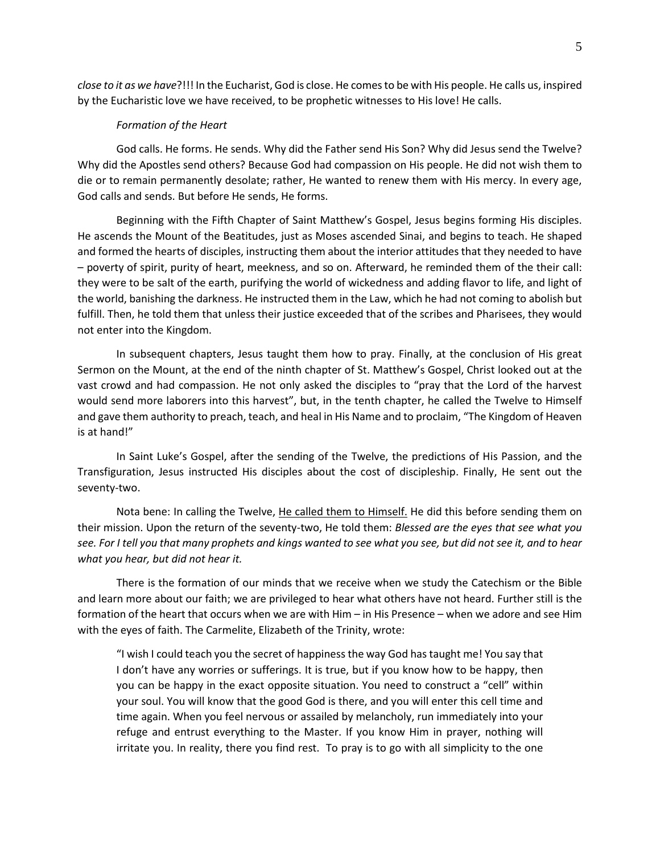*close to it as we have*?!!! In the Eucharist, God is close. He comes to be with His people. He calls us, inspired by the Eucharistic love we have received, to be prophetic witnesses to His love! He calls.

#### *Formation of the Heart*

God calls. He forms. He sends. Why did the Father send His Son? Why did Jesus send the Twelve? Why did the Apostles send others? Because God had compassion on His people. He did not wish them to die or to remain permanently desolate; rather, He wanted to renew them with His mercy. In every age, God calls and sends. But before He sends, He forms.

Beginning with the Fifth Chapter of Saint Matthew's Gospel, Jesus begins forming His disciples. He ascends the Mount of the Beatitudes, just as Moses ascended Sinai, and begins to teach. He shaped and formed the hearts of disciples, instructing them about the interior attitudes that they needed to have – poverty of spirit, purity of heart, meekness, and so on. Afterward, he reminded them of the their call: they were to be salt of the earth, purifying the world of wickedness and adding flavor to life, and light of the world, banishing the darkness. He instructed them in the Law, which he had not coming to abolish but fulfill. Then, he told them that unless their justice exceeded that of the scribes and Pharisees, they would not enter into the Kingdom.

In subsequent chapters, Jesus taught them how to pray. Finally, at the conclusion of His great Sermon on the Mount, at the end of the ninth chapter of St. Matthew's Gospel, Christ looked out at the vast crowd and had compassion. He not only asked the disciples to "pray that the Lord of the harvest would send more laborers into this harvest", but, in the tenth chapter, he called the Twelve to Himself and gave them authority to preach, teach, and heal in His Name and to proclaim, "The Kingdom of Heaven is at hand!"

In Saint Luke's Gospel, after the sending of the Twelve, the predictions of His Passion, and the Transfiguration, Jesus instructed His disciples about the cost of discipleship. Finally, He sent out the seventy-two.

Nota bene: In calling the Twelve, He called them to Himself. He did this before sending them on their mission. Upon the return of the seventy-two, He told them: *Blessed are the eyes that see what you see. For I tell you that many prophets and kings wanted to see what you see, but did not see it, and to hear what you hear, but did not hear it.*

There is the formation of our minds that we receive when we study the Catechism or the Bible and learn more about our faith; we are privileged to hear what others have not heard. Further still is the formation of the heart that occurs when we are with Him – in His Presence – when we adore and see Him with the eyes of faith. The Carmelite, Elizabeth of the Trinity, wrote:

"I wish I could teach you the secret of happiness the way God has taught me! You say that I don't have any worries or sufferings. It is true, but if you know how to be happy, then you can be happy in the exact opposite situation. You need to construct a "cell" within your soul. You will know that the good God is there, and you will enter this cell time and time again. When you feel nervous or assailed by melancholy, run immediately into your refuge and entrust everything to the Master. If you know Him in prayer, nothing will irritate you. In reality, there you find rest. To pray is to go with all simplicity to the one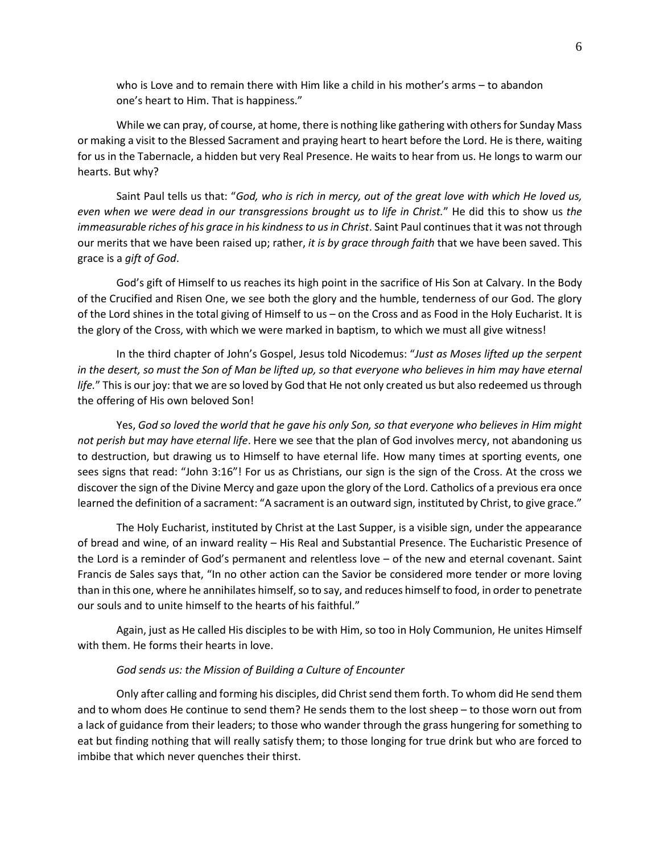who is Love and to remain there with Him like a child in his mother's arms – to abandon one's heart to Him. That is happiness."

While we can pray, of course, at home, there is nothing like gathering with others for Sunday Mass or making a visit to the Blessed Sacrament and praying heart to heart before the Lord. He is there, waiting for us in the Tabernacle, a hidden but very Real Presence. He waits to hear from us. He longs to warm our hearts. But why?

Saint Paul tells us that: "*God, who is rich in mercy, out of the great love with which He loved us, even when we were dead in our transgressions brought us to life in Christ.*" He did this to show us *the immeasurable riches of his grace in his kindness to us in Christ*. Saint Paul continues that it was not through our merits that we have been raised up; rather, *it is by grace through faith* that we have been saved. This grace is a *gift of God*.

God's gift of Himself to us reaches its high point in the sacrifice of His Son at Calvary. In the Body of the Crucified and Risen One, we see both the glory and the humble, tenderness of our God. The glory of the Lord shines in the total giving of Himself to us – on the Cross and as Food in the Holy Eucharist. It is the glory of the Cross, with which we were marked in baptism, to which we must all give witness!

In the third chapter of John's Gospel, Jesus told Nicodemus: "*Just as Moses lifted up the serpent*  in the desert, so must the Son of Man be lifted up, so that everyone who believes in him may have eternal *life.*" This is our joy: that we are so loved by God that He not only created us but also redeemed us through the offering of His own beloved Son!

Yes, *God so loved the world that he gave his only Son, so that everyone who believes in Him might not perish but may have eternal life*. Here we see that the plan of God involves mercy, not abandoning us to destruction, but drawing us to Himself to have eternal life. How many times at sporting events, one sees signs that read: "John 3:16"! For us as Christians, our sign is the sign of the Cross. At the cross we discover the sign of the Divine Mercy and gaze upon the glory of the Lord. Catholics of a previous era once learned the definition of a sacrament: "A sacrament is an outward sign, instituted by Christ, to give grace."

The Holy Eucharist, instituted by Christ at the Last Supper, is a visible sign, under the appearance of bread and wine, of an inward reality – His Real and Substantial Presence. The Eucharistic Presence of the Lord is a reminder of God's permanent and relentless love – of the new and eternal covenant. Saint Francis de Sales says that, "In no other action can the Savior be considered more tender or more loving than in this one, where he annihilates himself, so to say, and reduces himself to food, in order to penetrate our souls and to unite himself to the hearts of his faithful."

Again, just as He called His disciples to be with Him, so too in Holy Communion, He unites Himself with them. He forms their hearts in love.

## *God sends us: the Mission of Building a Culture of Encounter*

Only after calling and forming his disciples, did Christ send them forth. To whom did He send them and to whom does He continue to send them? He sends them to the lost sheep – to those worn out from a lack of guidance from their leaders; to those who wander through the grass hungering for something to eat but finding nothing that will really satisfy them; to those longing for true drink but who are forced to imbibe that which never quenches their thirst.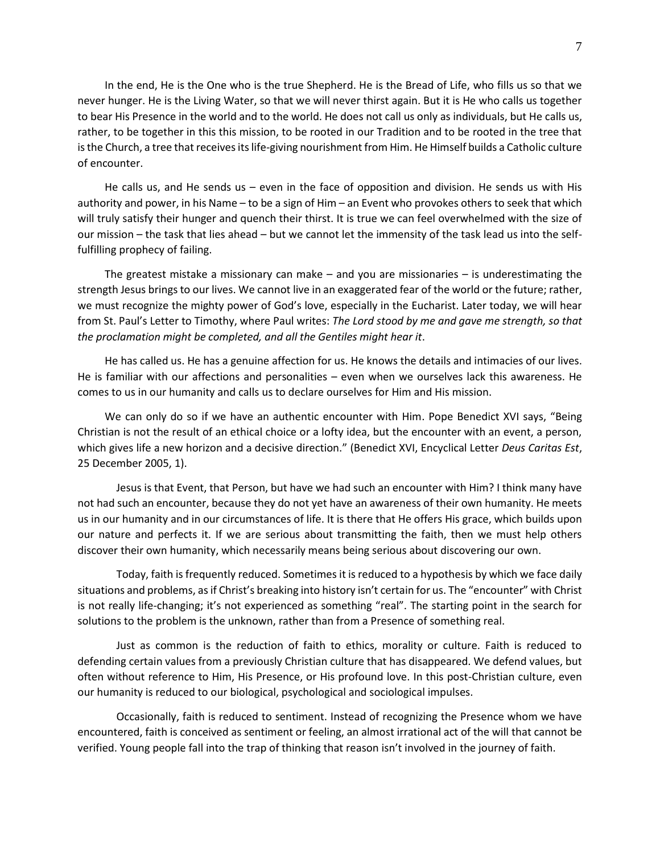In the end, He is the One who is the true Shepherd. He is the Bread of Life, who fills us so that we never hunger. He is the Living Water, so that we will never thirst again. But it is He who calls us together to bear His Presence in the world and to the world. He does not call us only as individuals, but He calls us, rather, to be together in this this mission, to be rooted in our Tradition and to be rooted in the tree that is the Church, a tree that receives its life-giving nourishment from Him. He Himself builds a Catholic culture of encounter.

He calls us, and He sends us – even in the face of opposition and division. He sends us with His authority and power, in his Name – to be a sign of Him – an Event who provokes others to seek that which will truly satisfy their hunger and quench their thirst. It is true we can feel overwhelmed with the size of our mission – the task that lies ahead – but we cannot let the immensity of the task lead us into the selffulfilling prophecy of failing.

The greatest mistake a missionary can make – and you are missionaries – is underestimating the strength Jesus brings to our lives. We cannot live in an exaggerated fear of the world or the future; rather, we must recognize the mighty power of God's love, especially in the Eucharist. Later today, we will hear from St. Paul's Letter to Timothy, where Paul writes: *The Lord stood by me and gave me strength, so that the proclamation might be completed, and all the Gentiles might hear it*.

He has called us. He has a genuine affection for us. He knows the details and intimacies of our lives. He is familiar with our affections and personalities – even when we ourselves lack this awareness. He comes to us in our humanity and calls us to declare ourselves for Him and His mission.

We can only do so if we have an authentic encounter with Him. Pope Benedict XVI says, "Being Christian is not the result of an ethical choice or a lofty idea, but the encounter with an event, a person, which gives life a new horizon and a decisive direction." (Benedict XVI, Encyclical Letter *Deus Caritas Est*, 25 December 2005, 1).

Jesus is that Event, that Person, but have we had such an encounter with Him? I think many have not had such an encounter, because they do not yet have an awareness of their own humanity. He meets us in our humanity and in our circumstances of life. It is there that He offers His grace, which builds upon our nature and perfects it. If we are serious about transmitting the faith, then we must help others discover their own humanity, which necessarily means being serious about discovering our own.

Today, faith is frequently reduced. Sometimes it is reduced to a hypothesis by which we face daily situations and problems, as if Christ's breaking into history isn't certain for us. The "encounter" with Christ is not really life-changing; it's not experienced as something "real". The starting point in the search for solutions to the problem is the unknown, rather than from a Presence of something real.

Just as common is the reduction of faith to ethics, morality or culture. Faith is reduced to defending certain values from a previously Christian culture that has disappeared. We defend values, but often without reference to Him, His Presence, or His profound love. In this post-Christian culture, even our humanity is reduced to our biological, psychological and sociological impulses.

Occasionally, faith is reduced to sentiment. Instead of recognizing the Presence whom we have encountered, faith is conceived as sentiment or feeling, an almost irrational act of the will that cannot be verified. Young people fall into the trap of thinking that reason isn't involved in the journey of faith.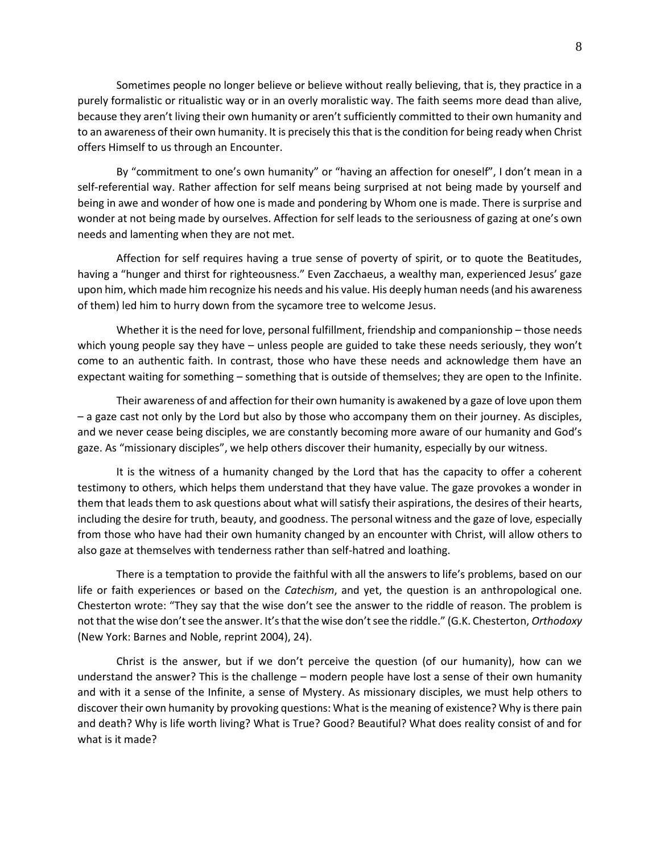Sometimes people no longer believe or believe without really believing, that is, they practice in a purely formalistic or ritualistic way or in an overly moralistic way. The faith seems more dead than alive, because they aren't living their own humanity or aren't sufficiently committed to their own humanity and to an awareness of their own humanity. It is precisely this that is the condition for being ready when Christ offers Himself to us through an Encounter.

By "commitment to one's own humanity" or "having an affection for oneself", I don't mean in a self-referential way. Rather affection for self means being surprised at not being made by yourself and being in awe and wonder of how one is made and pondering by Whom one is made. There is surprise and wonder at not being made by ourselves. Affection for self leads to the seriousness of gazing at one's own needs and lamenting when they are not met.

Affection for self requires having a true sense of poverty of spirit, or to quote the Beatitudes, having a "hunger and thirst for righteousness." Even Zacchaeus, a wealthy man, experienced Jesus' gaze upon him, which made him recognize his needs and his value. His deeply human needs (and his awareness of them) led him to hurry down from the sycamore tree to welcome Jesus.

Whether it is the need for love, personal fulfillment, friendship and companionship – those needs which young people say they have – unless people are guided to take these needs seriously, they won't come to an authentic faith. In contrast, those who have these needs and acknowledge them have an expectant waiting for something – something that is outside of themselves; they are open to the Infinite.

Their awareness of and affection for their own humanity is awakened by a gaze of love upon them – a gaze cast not only by the Lord but also by those who accompany them on their journey. As disciples, and we never cease being disciples, we are constantly becoming more aware of our humanity and God's gaze. As "missionary disciples", we help others discover their humanity, especially by our witness.

It is the witness of a humanity changed by the Lord that has the capacity to offer a coherent testimony to others, which helps them understand that they have value. The gaze provokes a wonder in them that leads them to ask questions about what will satisfy their aspirations, the desires of their hearts, including the desire for truth, beauty, and goodness. The personal witness and the gaze of love, especially from those who have had their own humanity changed by an encounter with Christ, will allow others to also gaze at themselves with tenderness rather than self-hatred and loathing.

There is a temptation to provide the faithful with all the answers to life's problems, based on our life or faith experiences or based on the *Catechism*, and yet, the question is an anthropological one. Chesterton wrote: "They say that the wise don't see the answer to the riddle of reason. The problem is not that the wise don't see the answer. It's that the wise don't see the riddle." (G.K. Chesterton, *Orthodoxy* (New York: Barnes and Noble, reprint 2004), 24).

Christ is the answer, but if we don't perceive the question (of our humanity), how can we understand the answer? This is the challenge – modern people have lost a sense of their own humanity and with it a sense of the Infinite, a sense of Mystery. As missionary disciples, we must help others to discover their own humanity by provoking questions: What is the meaning of existence? Why is there pain and death? Why is life worth living? What is True? Good? Beautiful? What does reality consist of and for what is it made?